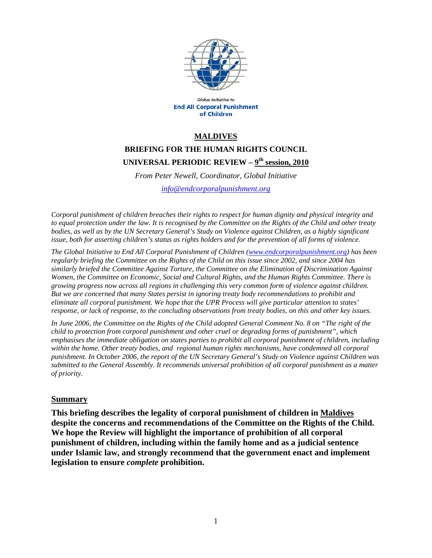

Global Initiative to **End All Corporal Punishment** of Children

#### **MALDIVES**

# **BRIEFING FOR THE HUMAN RIGHTS COUNCIL UNIVERSAL PERIODIC REVIEW – 9th session, 2010**

*From Peter Newell, Coordinator, Global Initiative* 

*info@endcorporalpunishment.org*

*Corporal punishment of children breaches their rights to respect for human dignity and physical integrity and to equal protection under the law. It is recognised by the Committee on the Rights of the Child and other treaty bodies, as well as by the UN Secretary General's Study on Violence against Children, as a highly significant issue, both for asserting children's status as rights holders and for the prevention of all forms of violence.* 

*The Global Initiative to End All Corporal Punishment of Children (www.endcorporalpunishment.org) has been regularly briefing the Committee on the Rights of the Child on this issue since 2002, and since 2004 has similarly briefed the Committee Against Torture, the Committee on the Elimination of Discrimination Against Women, the Committee on Economic, Social and Cultural Rights, and the Human Rights Committee. There is growing progress now across all regions in challenging this very common form of violence against children. But we are concerned that many States persist in ignoring treaty body recommendations to prohibit and eliminate all corporal punishment. We hope that the UPR Process will give particular attention to states' response, or lack of response, to the concluding observations from treaty bodies, on this and other key issues.* 

*In June 2006, the Committee on the Rights of the Child adopted General Comment No. 8 on "The right of the child to protection from corporal punishment and other cruel or degrading forms of punishment", which emphasises the immediate obligation on states parties to prohibit all corporal punishment of children, including within the home. Other treaty bodies, and regional human rights mechanisms, have condemned all corporal punishment. In October 2006, the report of the UN Secretary General's Study on Violence against Children was submitted to the General Assembly. It recommends universal prohibition of all corporal punishment as a matter of priority.*

#### **Summary**

**This briefing describes the legality of corporal punishment of children in Maldives despite the concerns and recommendations of the Committee on the Rights of the Child. We hope the Review will highlight the importance of prohibition of all corporal punishment of children, including within the family home and as a judicial sentence under Islamic law, and strongly recommend that the government enact and implement legislation to ensure** *complete* **prohibition.**